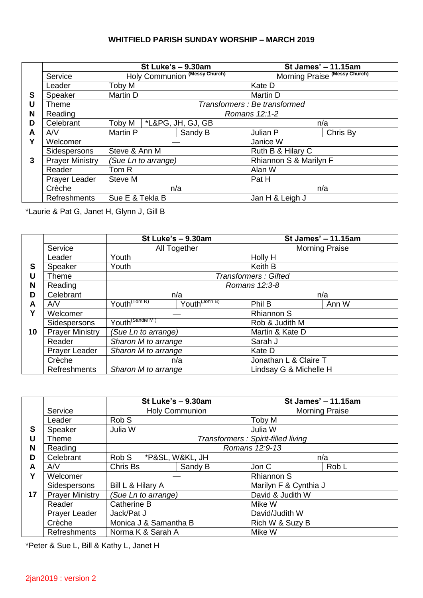## **WHITFIELD PARISH SUNDAY WORSHIP – MARCH 2019**

|   |                        | St Luke's - 9.30am                   |                               | St James' - 11.15am           |          |  |
|---|------------------------|--------------------------------------|-------------------------------|-------------------------------|----------|--|
|   | Service                |                                      | Holy Communion (Messy Church) | Morning Praise (Messy Church) |          |  |
|   | Leader                 | Toby M                               |                               | Kate D                        |          |  |
| S | Speaker                | Martin D                             |                               | Martin D                      |          |  |
| U | Theme                  |                                      |                               | Transformers : Be transformed |          |  |
| N | Reading                |                                      |                               | Romans 12:1-2                 |          |  |
| D | Celebrant              | Toby M                               | *L&PG, JH, GJ, GB             | n/a                           |          |  |
| A | AVV                    | Martin P                             | Sandy B                       | Julian P                      | Chris By |  |
| Υ | Welcomer               | Steve & Ann M<br>(Sue Ln to arrange) |                               | Janice W                      |          |  |
|   | Sidespersons           |                                      |                               | Ruth B & Hilary C             |          |  |
| 3 | <b>Prayer Ministry</b> |                                      |                               | Rhiannon S & Marilyn F        |          |  |
|   | Reader                 | Tom R                                |                               | Alan W                        |          |  |
|   | <b>Prayer Leader</b>   | Steve M                              |                               | Pat H                         |          |  |
|   | Crèche                 | n/a                                  |                               | n/a                           |          |  |
|   | <b>Refreshments</b>    | Sue E & Tekla B                      |                               | Jan H & Leigh J               |          |  |

\*Laurie & Pat G, Janet H, Glynn J, Gill B

|    |                        | St Luke's - 9.30am          |                           | St James' - 11.15am         |                 |  |  |
|----|------------------------|-----------------------------|---------------------------|-----------------------------|-----------------|--|--|
|    | Service                | All Together                |                           | <b>Morning Praise</b>       |                 |  |  |
|    | Leader                 | Youth                       |                           | Holly H                     |                 |  |  |
| S  | Speaker                | Youth                       |                           | Keith B                     |                 |  |  |
| U  | Theme                  |                             |                           | <b>Transformers: Gifted</b> |                 |  |  |
| N  | Reading                |                             |                           | Romans 12:3-8               |                 |  |  |
| D  | Celebrant              | n/a                         |                           | n/a                         |                 |  |  |
| A  | AVV                    | Youth <sup>(Tom R)</sup>    | Youth <sup>(John B)</sup> | Phil B                      | Ann W           |  |  |
| Υ  | Welcomer               |                             |                           | <b>Rhiannon S</b>           |                 |  |  |
|    | Sidespersons           | Youth <sup>(Sandie M)</sup> |                           | Rob & Judith M              |                 |  |  |
| 10 | <b>Prayer Ministry</b> |                             | (Sue Ln to arrange)       |                             | Martin & Kate D |  |  |
|    | Reader                 | Sharon M to arrange         |                           | Sarah J                     |                 |  |  |
|    | <b>Prayer Leader</b>   | Sharon M to arrange         |                           | Kate D                      |                 |  |  |
|    | Crèche                 | n/a                         |                           | Jonathan L & Claire T       |                 |  |  |
|    | Refreshments           | Sharon M to arrange         |                           | Lindsay G & Michelle H      |                 |  |  |

|    |                        | St Luke's - 9.30am    |                     |                 | St James' - 11.15am                 |       |  |
|----|------------------------|-----------------------|---------------------|-----------------|-------------------------------------|-------|--|
|    | Service                | <b>Holy Communion</b> |                     |                 | <b>Morning Praise</b>               |       |  |
|    | Leader                 | Rob S                 |                     |                 | Toby M                              |       |  |
| S  | Speaker                | Julia W               |                     |                 | Julia W                             |       |  |
| U  | Theme                  |                       |                     |                 | Transformers : Spirit-filled living |       |  |
| N  | Reading                |                       |                     |                 | Romans 12:9-13                      |       |  |
| D  | Celebrant              | Rob S                 |                     | *P&SL, W&KL, JH | n/a                                 |       |  |
| A  | AVV                    | Chris Bs              |                     | Sandy B         | Jon C                               | Rob L |  |
| Υ  | Welcomer               |                       |                     |                 | <b>Rhiannon S</b>                   |       |  |
|    | Sidespersons           | Bill L & Hilary A     |                     |                 | Marilyn F & Cynthia J               |       |  |
| 17 | <b>Prayer Ministry</b> |                       | (Sue Ln to arrange) |                 | David & Judith W                    |       |  |
|    | Reader                 | <b>Catherine B</b>    |                     |                 | Mike W                              |       |  |
|    | <b>Prayer Leader</b>   | Jack/Pat J            |                     |                 | David/Judith W                      |       |  |
|    | Crèche                 | Monica J & Samantha B |                     |                 | Rich W & Suzy B                     |       |  |
|    | <b>Refreshments</b>    | Norma K & Sarah A     |                     |                 | Mike W                              |       |  |

\*Peter & Sue L, Bill & Kathy L, Janet H